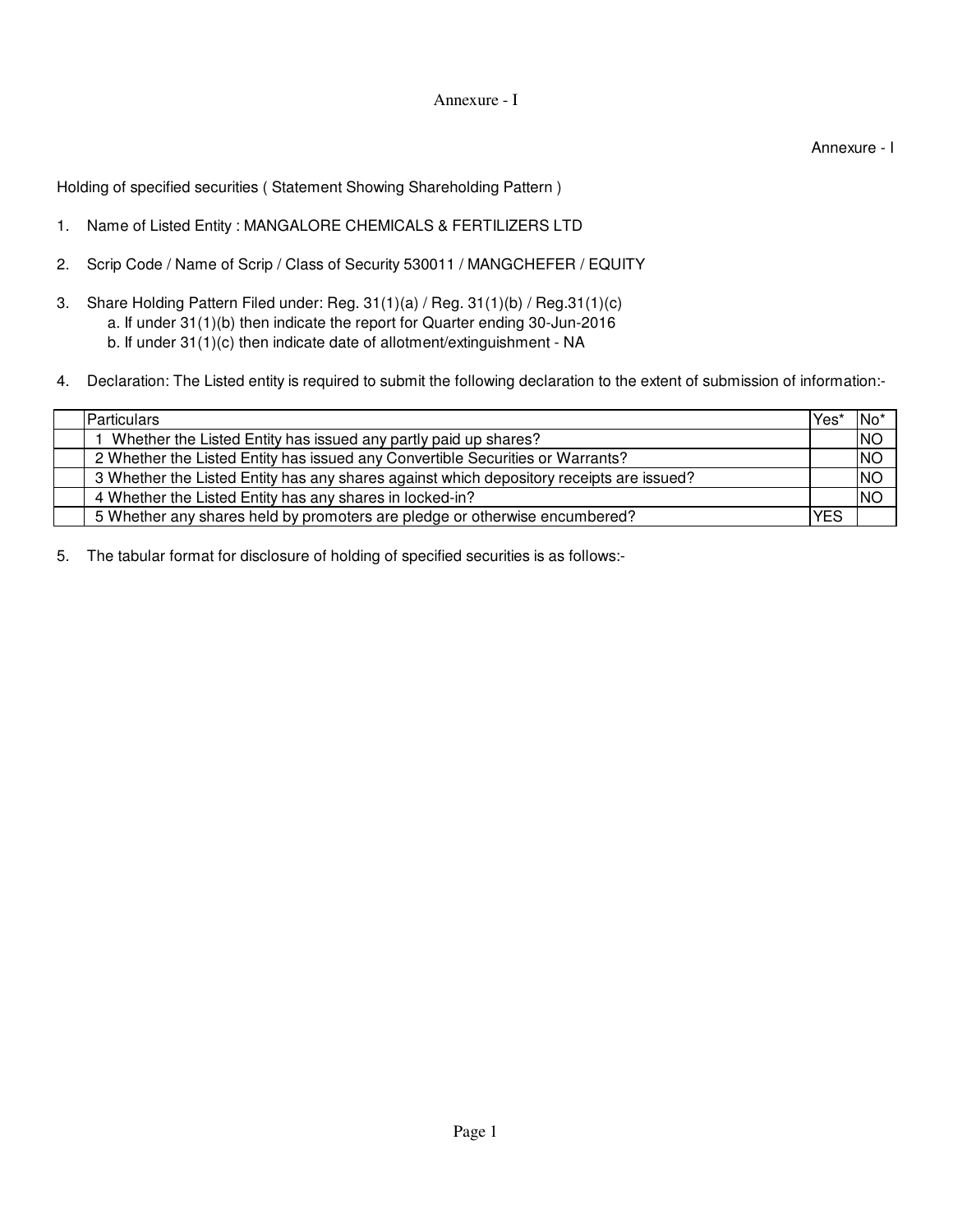## Annexure - I

Annexure - I

Holding of specified securities ( Statement Showing Shareholding Pattern )

- 1. Name of Listed Entity : MANGALORE CHEMICALS & FERTILIZERS LTD
- 2. Scrip Code / Name of Scrip / Class of Security 530011 / MANGCHEFER / EQUITY
- 3. b. If under 31(1)(c) then indicate date of allotment/extinguishment - NA Share Holding Pattern Filed under: Reg. 31(1)(a) / Reg. 31(1)(b) / Reg.31(1)(c) a. If under 31(1)(b) then indicate the report for Quarter ending 30-Jun-2016
- 4. Declaration: The Listed entity is required to submit the following declaration to the extent of submission of information:-

| <b>Particulars</b>                                                                       | Yes | 'No       |
|------------------------------------------------------------------------------------------|-----|-----------|
| Whether the Listed Entity has issued any partly paid up shares?                          |     | <b>NO</b> |
| 2 Whether the Listed Entity has issued any Convertible Securities or Warrants?           |     | <b>NO</b> |
| 3 Whether the Listed Entity has any shares against which depository receipts are issued? |     | <b>NO</b> |
| 4 Whether the Listed Entity has any shares in locked-in?                                 |     | <b>NO</b> |
| 5 Whether any shares held by promoters are pledge or otherwise encumbered?               | YES |           |

5. The tabular format for disclosure of holding of specified securities is as follows:-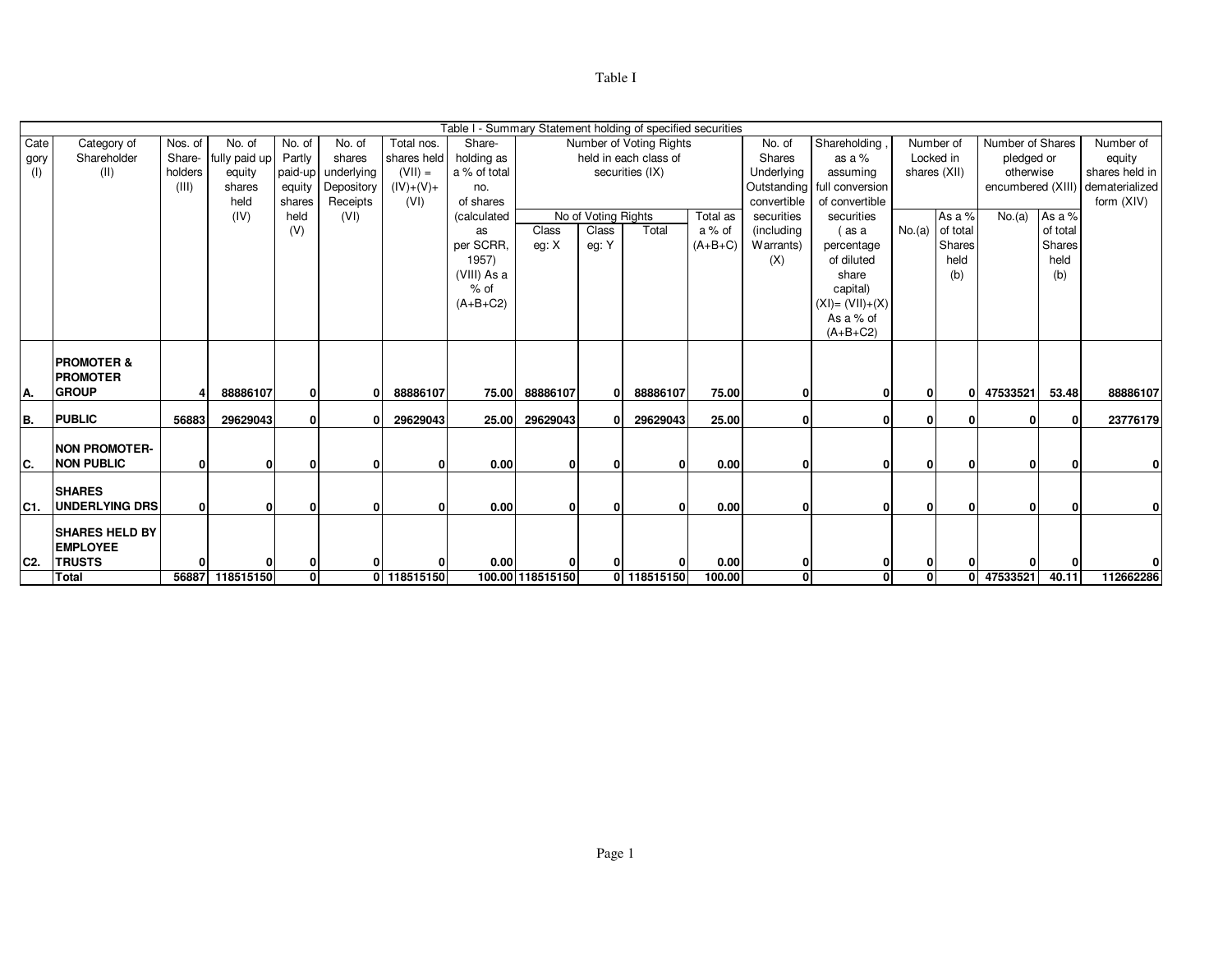## Table I

|                |                       |              |                      |              |            |              | Table I - Summary Statement holding of specified securities |                  |                     |                         |           |                               |                          |              |                   |                  |                |                                  |
|----------------|-----------------------|--------------|----------------------|--------------|------------|--------------|-------------------------------------------------------------|------------------|---------------------|-------------------------|-----------|-------------------------------|--------------------------|--------------|-------------------|------------------|----------------|----------------------------------|
| Cate           | Category of           | Nos. of      | No. of               | No. of       | No. of     | Total nos.   | Share-                                                      |                  |                     | Number of Voting Rights |           | No. of                        | Shareholding,            |              | Number of         | Number of Shares |                | Number of                        |
| gory           | Shareholder           |              | Share- fully paid up | Partly       | shares     | shares held  | holding as                                                  |                  |                     | held in each class of   |           | Shares                        | as a $%$                 | Locked in    |                   | pledged or       |                | equity                           |
| (1)            | (II)                  | holders      | equity               | paid-up      | underlying | $(VII) =$    | a % of total                                                | securities (IX)  |                     |                         |           | Underlying                    | assuming                 |              | shares (XII)      | otherwise        |                | shares held in                   |
|                |                       | (III)        | shares               | equity       | Depository | $(IV)+(V)+$  | no.                                                         |                  |                     |                         |           | Outstanding<br>ull conversion |                          |              |                   |                  |                | encumbered (XIII) dematerialized |
|                |                       |              | held                 | shares       | Receipts   | (VI)         | of shares                                                   |                  |                     |                         |           | convertible                   | of convertible           |              |                   |                  |                | form (XIV)                       |
|                |                       |              | (IV)                 | held         | (VI)       |              | (calculated                                                 |                  | No of Voting Rights |                         | Total as  | securities                    | securities               |              | As a %            | No.(a)           | As a %         |                                  |
|                |                       |              |                      | (V)          |            |              | as                                                          | Class            | Class               | Total                   | a % of    | (including                    | (as a                    |              | $No.(a)$ of total |                  | of total       |                                  |
|                |                       |              |                      |              |            |              | per SCRR.                                                   | eg: X            | eg: Y               |                         | $(A+B+C)$ | Warrants)                     | percentage<br>of diluted |              | Shares<br>held    |                  | Shares<br>held |                                  |
|                |                       |              |                      |              |            |              | 1957)                                                       |                  |                     |                         |           | (X)                           | share                    |              |                   |                  |                |                                  |
|                |                       |              |                      |              |            |              | (VIII) As a<br>$%$ of                                       |                  |                     |                         |           |                               | capital)                 |              | (b)               |                  | (b)            |                                  |
|                |                       |              |                      |              |            |              | $(A+B+C2)$                                                  |                  |                     |                         |           |                               | $(XI) = (VII)+(X)$       |              |                   |                  |                |                                  |
|                |                       |              |                      |              |            |              |                                                             |                  |                     |                         |           |                               | As a % of                |              |                   |                  |                |                                  |
|                |                       |              |                      |              |            |              |                                                             |                  |                     |                         |           |                               | $(A+B+C2)$               |              |                   |                  |                |                                  |
|                |                       |              |                      |              |            |              |                                                             |                  |                     |                         |           |                               |                          |              |                   |                  |                |                                  |
|                | <b>PROMOTER &amp;</b> |              |                      |              |            |              |                                                             |                  |                     |                         |           |                               |                          |              |                   |                  |                |                                  |
|                | <b>PROMOTER</b>       |              |                      |              |            |              |                                                             |                  |                     |                         |           |                               |                          |              |                   |                  |                |                                  |
| IA.            | <b>GROUP</b>          |              | 88886107             | 0            |            | 88886107     | 75.00                                                       | 88886107         |                     | 88886107                | 75.00     |                               | 0                        | 0            | 01                | 47533521         | 53.48          | 88886107                         |
|                |                       |              |                      |              |            |              |                                                             |                  |                     |                         |           |                               |                          |              |                   |                  |                |                                  |
| B.             | <b>PUBLIC</b>         | 56883        | 29629043             | 0            |            | 29629043     | 25.00                                                       | 29629043         |                     | 29629043                | 25.00     | 0                             | 0                        | 0            | $\mathbf{0}$      | 0                | 0              | 23776179                         |
|                |                       |              |                      |              |            |              |                                                             |                  |                     |                         |           |                               |                          |              |                   |                  |                |                                  |
|                | <b>NON PROMOTER-</b>  |              |                      |              |            |              |                                                             |                  |                     |                         |           |                               |                          |              |                   |                  |                |                                  |
| IC.            | <b>NON PUBLIC</b>     | $\mathbf{0}$ | $\mathbf{0}$         | ŋ            |            | $\Omega$     | 0.00                                                        | 0                |                     |                         | 0.00      | $\Omega$                      | 0                        | $\mathbf{0}$ | 0                 | 0                |                |                                  |
|                | <b>SHARES</b>         |              |                      |              |            |              |                                                             |                  |                     |                         |           |                               |                          |              |                   |                  |                |                                  |
| C1.            | UNDERLYING DRS        | $\mathbf{0}$ | $\mathbf{0}$         | $\Omega$     | $\Omega$   | $\mathbf{0}$ | 0.00                                                        | $\mathbf{0}$     | $\Omega$            |                         | 0.00      | $\mathbf{0}$                  | $\mathbf{0}$             | $\mathbf{0}$ | $\mathbf{0}$      | $\mathbf{0}$     | $\Omega$       | 0                                |
|                |                       |              |                      |              |            |              |                                                             |                  |                     |                         |           |                               |                          |              |                   |                  |                |                                  |
|                | <b>SHARES HELD BY</b> |              |                      |              |            |              |                                                             |                  |                     |                         |           |                               |                          |              |                   |                  |                |                                  |
|                | <b>EMPLOYEE</b>       |              |                      |              |            |              |                                                             |                  |                     |                         |           |                               |                          |              |                   |                  |                |                                  |
| C <sub>2</sub> | <b>TRUSTS</b>         | 0            | 0                    | 0            | 0          | $\Omega$     | 0.00                                                        | 0                |                     |                         | 0.00      | 0                             | 0                        | 0            | n.                |                  |                |                                  |
|                | <b>Total</b>          |              | 56887 118515150      | $\mathbf{0}$ | ΩI         | 118515150    |                                                             | 100.00 118515150 |                     | 0 118515150             | 100.00    | $\mathbf{0}$                  | $\mathbf{0}$             | 0            |                   | 0 47533521       | 40.11          | 112662286                        |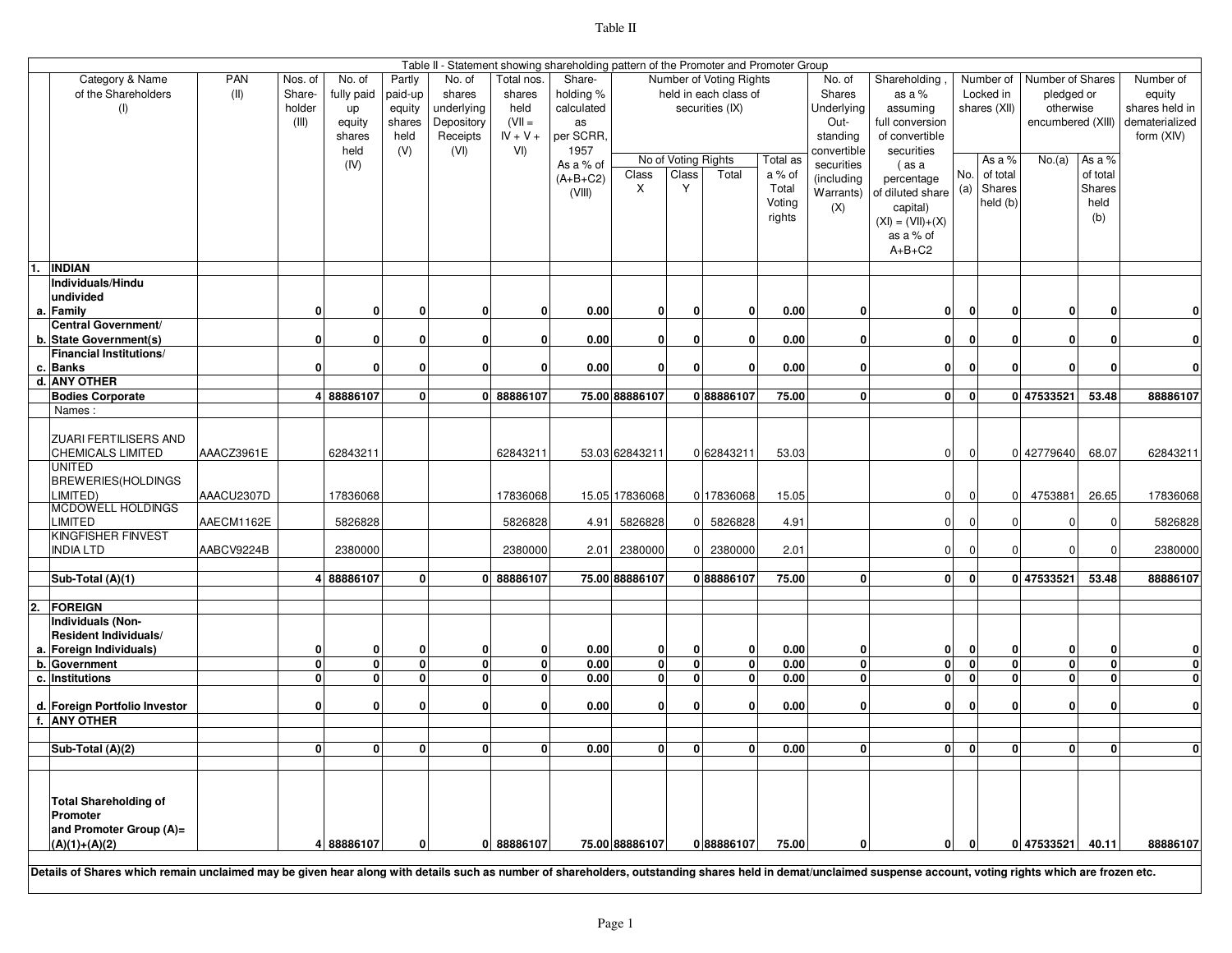| r<br>ıE |  |
|---------|--|
|---------|--|

|    | Table II - Statement showing shareholding pattern of the Promoter and Promoter Group                                                                                                                           |            |              |              |         |            |              |            |                         |                         |                         |          |                         |                      |                |                         |                   |                |                         |
|----|----------------------------------------------------------------------------------------------------------------------------------------------------------------------------------------------------------------|------------|--------------|--------------|---------|------------|--------------|------------|-------------------------|-------------------------|-------------------------|----------|-------------------------|----------------------|----------------|-------------------------|-------------------|----------------|-------------------------|
|    | Category & Name                                                                                                                                                                                                | <b>PAN</b> | Nos. of      | No. of       | Partly  | No. of     | Total nos.   | Share-     |                         |                         | Number of Voting Rights |          | No. of                  | Shareholding         |                | Number of               | Number of Shares  |                | Number of               |
|    | of the Shareholders                                                                                                                                                                                            | (II)       | Share-       | fully paid   | paid-up | shares     | shares       | holding %  |                         |                         | held in each class of   |          | Shares                  | as a %               |                | Locked in               | pledged or        |                | equity                  |
|    | (1)                                                                                                                                                                                                            |            | holder       | up           | equity  | underlying | held         | calculated |                         |                         | securities (IX)         |          | Underlying              | assuming             |                | shares (XII)            | otherwise         |                | shares held in          |
|    |                                                                                                                                                                                                                |            | (III)        | equity       | shares  | Depository | $(VII =$     | as         |                         |                         |                         |          | Out-                    | full conversion      |                |                         | encumbered (XIII) |                | dematerialized          |
|    |                                                                                                                                                                                                                |            |              | shares       | held    | Receipts   | $IV + V +$   | per SCRR,  |                         |                         |                         |          | standing                | of convertible       |                |                         |                   |                | form (XIV)              |
|    |                                                                                                                                                                                                                |            |              | held         | (V)     | (VI)       | VI)          | 1957       |                         |                         |                         |          | convertible             | securities           |                |                         |                   |                |                         |
|    |                                                                                                                                                                                                                |            |              | (IV)         |         |            |              | As a % of  |                         |                         | No of Voting Rights     | Total as | securities              | (as a                |                | As a %                  | No.(a)            | As a %         |                         |
|    |                                                                                                                                                                                                                |            |              |              |         |            |              | $(A+B+C2)$ | Class                   | Class                   | Total                   | a % of   | (including              | percentage           | No.            | of total                |                   | of total       |                         |
|    |                                                                                                                                                                                                                |            |              |              |         |            |              | (VIII)     | X                       | Y                       |                         | Total    | Warrants)               | of diluted share (a) |                | Shares                  |                   | Shares         |                         |
|    |                                                                                                                                                                                                                |            |              |              |         |            |              |            |                         |                         |                         | Voting   | (X)                     | capital)             |                | held (b)                |                   | held           |                         |
|    |                                                                                                                                                                                                                |            |              |              |         |            |              |            |                         |                         |                         | rights   |                         | $(XI) = (VII)+(X)$   |                |                         |                   | (b)            |                         |
|    |                                                                                                                                                                                                                |            |              |              |         |            |              |            |                         |                         |                         |          |                         | as a % of            |                |                         |                   |                |                         |
|    |                                                                                                                                                                                                                |            |              |              |         |            |              |            |                         |                         |                         |          |                         | $A+B+C2$             |                |                         |                   |                |                         |
|    |                                                                                                                                                                                                                |            |              |              |         |            |              |            |                         |                         |                         |          |                         |                      |                |                         |                   |                |                         |
|    | INDIAN                                                                                                                                                                                                         |            |              |              |         |            |              |            |                         |                         |                         |          |                         |                      |                |                         |                   |                |                         |
|    | Individuals/Hindu                                                                                                                                                                                              |            |              |              |         |            |              |            |                         |                         |                         |          |                         |                      |                |                         |                   |                |                         |
|    | undivided                                                                                                                                                                                                      |            |              |              |         |            |              |            |                         |                         |                         |          |                         |                      |                |                         |                   |                |                         |
|    | a. Family                                                                                                                                                                                                      |            | 0            | $\mathbf{0}$ | O       | 0          | 0            | 0.00       | 0                       | 0                       | $\mathbf{0}$            | 0.00     | 0                       | 0                    | $\mathbf{0}$   | 0                       | $\mathbf{0}$      |                | 0                       |
|    | Central Government/                                                                                                                                                                                            |            |              |              |         |            |              |            |                         |                         |                         |          |                         |                      |                |                         |                   |                |                         |
|    | b. State Government(s)                                                                                                                                                                                         |            | $\mathbf{0}$ | 0            | O       | 0          | 0            | 0.00       | 0                       | 0                       | 0                       | 0.00     | $\mathbf{0}$            | $\mathbf{0}$         | $\mathbf{0}$   | 0                       | $\mathbf{0}$      |                | 0                       |
|    | <b>Financial Institutions/</b>                                                                                                                                                                                 |            |              |              |         |            |              |            |                         |                         |                         |          |                         |                      |                |                         |                   |                |                         |
|    | c. Banks                                                                                                                                                                                                       |            | $\mathbf{0}$ | 0            | O       | 0          | $\mathbf 0$  | 0.00       | 0                       | 0                       | 0                       | 0.00     | $\mathbf{0}$            | 0                    | $\mathbf{0}$   | $\mathbf 0$             | $\mathbf{0}$      | ŋ              | $\mathbf 0$             |
|    | d. ANY OTHER                                                                                                                                                                                                   |            |              |              |         |            |              |            |                         |                         |                         |          |                         |                      |                |                         |                   |                |                         |
|    | <b>Bodies Corporate</b>                                                                                                                                                                                        |            |              | 4 88886107   | 0       |            | 0 88886107   |            | 75.00 88886107          |                         | 088886107               | 75.00    | $\mathbf{0}$            | 0                    | 0              |                         | 0 47533521        | 53.48          | 88886107                |
|    | Names:                                                                                                                                                                                                         |            |              |              |         |            |              |            |                         |                         |                         |          |                         |                      |                |                         |                   |                |                         |
|    |                                                                                                                                                                                                                |            |              |              |         |            |              |            |                         |                         |                         |          |                         |                      |                |                         |                   |                |                         |
|    | ZUARI FERTILISERS AND                                                                                                                                                                                          |            |              |              |         |            |              |            |                         |                         |                         |          |                         |                      |                |                         |                   |                |                         |
|    | CHEMICALS LIMITED                                                                                                                                                                                              | AAACZ3961E |              | 62843211     |         |            | 62843211     |            | 53.03 62843211          |                         | 0 62843211              | 53.03    |                         | $\Omega$             | $\mathbf 0$    |                         | 0 42779640        | 68.07          | 62843211                |
|    | UNITED                                                                                                                                                                                                         |            |              |              |         |            |              |            |                         |                         |                         |          |                         |                      |                |                         |                   |                |                         |
|    | BREWERIES(HOLDINGS                                                                                                                                                                                             |            |              |              |         |            |              |            |                         |                         |                         |          |                         |                      |                |                         |                   |                |                         |
|    | .IMITED)                                                                                                                                                                                                       | AAACU2307D |              | 17836068     |         |            | 17836068     |            | 15.05 17836068          |                         | 0 17836068              | 15.05    |                         | $\mathbf 0$          | $\overline{0}$ | $\mathbf 0$             | 4753881           | 26.65          | 17836068                |
|    | MCDOWELL HOLDINGS                                                                                                                                                                                              |            |              |              |         |            |              |            |                         |                         |                         |          |                         |                      |                |                         |                   |                |                         |
|    | LIMITED                                                                                                                                                                                                        | AAECM1162E |              | 5826828      |         |            | 5826828      | 4.91       | 5826828                 | ΩI                      | 5826828                 | 4.91     |                         | $\overline{0}$       | $\Omega$       | $\mathbf 0$             | $\mathbf 0$       |                | 5826828                 |
|    | <b>KINGFISHER FINVEST</b>                                                                                                                                                                                      |            |              |              |         |            |              |            |                         |                         |                         |          |                         |                      |                |                         |                   |                |                         |
|    | <b>INDIA LTD</b>                                                                                                                                                                                               | AABCV9224B |              | 2380000      |         |            | 2380000      | 2.01       | 2380000                 | n.                      | 2380000                 | 2.01     |                         | $\overline{0}$       | $\mathbf{0}$   | $\Omega$                | $\mathbf{0}$      |                | 2380000                 |
|    |                                                                                                                                                                                                                |            |              |              |         |            |              |            |                         |                         |                         |          |                         |                      |                |                         |                   |                |                         |
|    | Sub-Total (A)(1)                                                                                                                                                                                               |            |              | 4 88886107   | 0       |            | 0 88886107   |            | 75.00 88886107          |                         | 088886107               | 75.00    | $\mathbf{0}$            | $\overline{0}$       | $\mathbf{0}$   |                         | 0 47533521        | 53.48          | 88886107                |
|    |                                                                                                                                                                                                                |            |              |              |         |            |              |            |                         |                         |                         |          |                         |                      |                |                         |                   |                |                         |
| 2. | <b>FOREIGN</b>                                                                                                                                                                                                 |            |              |              |         |            |              |            |                         |                         |                         |          |                         |                      |                |                         |                   |                |                         |
|    | <b>Individuals (Non-</b>                                                                                                                                                                                       |            |              |              |         |            |              |            |                         |                         |                         |          |                         |                      |                |                         |                   |                |                         |
|    | <b>Resident Individuals/</b>                                                                                                                                                                                   |            |              |              |         |            |              |            |                         |                         |                         |          |                         |                      |                |                         |                   |                |                         |
| а. | Foreign Individuals)                                                                                                                                                                                           |            | 0            | 0            | O       | 0          | 0            | 0.00       | 0                       | $\mathbf{0}$            | 0                       | 0.00     | 0                       | $\mathbf{0}$         | $\mathbf{0}$   | 0                       | $\mathbf{0}$      |                | 0                       |
| b. | <b>Government</b>                                                                                                                                                                                              |            | $\mathbf{0}$ | o            | 0       | 0          | $\mathbf 0$  | 0.00       | $\overline{\mathbf{0}}$ | $\overline{\mathbf{0}}$ | $\mathbf{0}$            | 0.00     | $\overline{\mathbf{0}}$ | 0                    | $\overline{0}$ | $\overline{\mathbf{0}}$ | ō                 | $\overline{0}$ | $\overline{\mathbf{0}}$ |
| c. | <b>Institutions</b>                                                                                                                                                                                            |            | $\mathbf{0}$ | $\mathbf{0}$ | 0       | 0          | $\mathbf{0}$ | 0.00       | $\overline{0}$          | $\mathbf{0}$            | $\mathbf{0}$            | 0.00     | $\mathbf{0}$            | $\mathbf{0}$         | $\mathbf{0}$   | $\mathbf{0}$            | $\mathbf{0}$      | 0              | $\overline{\mathbf{0}}$ |
|    |                                                                                                                                                                                                                |            |              |              |         |            |              |            |                         |                         |                         |          |                         |                      |                |                         |                   |                |                         |
|    | d. Foreign Portfolio Investor                                                                                                                                                                                  |            | $\mathbf{0}$ | $\mathbf{0}$ | 0       | 0          | 0            | 0.00       | 0                       | 0                       | $\mathbf{0}$            | 0.00     | 0                       | 0                    | 0              | $\mathbf 0$             | $\mathbf{0}$      | 0              | 0                       |
| f. | <b>ANY OTHER</b>                                                                                                                                                                                               |            |              |              |         |            |              |            |                         |                         |                         |          |                         |                      |                |                         |                   |                |                         |
|    |                                                                                                                                                                                                                |            |              |              |         |            |              |            |                         |                         |                         |          |                         |                      |                |                         |                   |                |                         |
|    | Sub-Total (A)(2)                                                                                                                                                                                               |            | $\mathbf{0}$ | 0            | O       | 0          | 0            | 0.00       | 0                       | 0                       | 0                       | 0.00     | 0                       | 0                    | $\mathbf{0}$   | $\mathbf 0$             | $\mathbf{0}$      | U              | $\mathbf{0}$            |
|    |                                                                                                                                                                                                                |            |              |              |         |            |              |            |                         |                         |                         |          |                         |                      |                |                         |                   |                |                         |
|    |                                                                                                                                                                                                                |            |              |              |         |            |              |            |                         |                         |                         |          |                         |                      |                |                         |                   |                |                         |
|    |                                                                                                                                                                                                                |            |              |              |         |            |              |            |                         |                         |                         |          |                         |                      |                |                         |                   |                |                         |
|    | <b>Total Shareholding of</b>                                                                                                                                                                                   |            |              |              |         |            |              |            |                         |                         |                         |          |                         |                      |                |                         |                   |                |                         |
|    | Promoter                                                                                                                                                                                                       |            |              |              |         |            |              |            |                         |                         |                         |          |                         |                      |                |                         |                   |                |                         |
|    | and Promoter Group (A)=                                                                                                                                                                                        |            |              |              |         |            |              |            |                         |                         |                         |          |                         |                      |                |                         |                   |                |                         |
|    | $(A)(1)+(A)(2)$                                                                                                                                                                                                |            |              | 4 88886107   | O       |            | 08886107     |            | 75.00 88886107          |                         | 088886107               | 75.00    | ŋ                       | 0                    | 0              |                         | 0 47533521        | 40.11          | 88886107                |
|    |                                                                                                                                                                                                                |            |              |              |         |            |              |            |                         |                         |                         |          |                         |                      |                |                         |                   |                |                         |
|    | Details of Shares which remain unclaimed may be given hear along with details such as number of shareholders, outstanding shares held in demat/unclaimed suspense account, voting rights which are frozen etc. |            |              |              |         |            |              |            |                         |                         |                         |          |                         |                      |                |                         |                   |                |                         |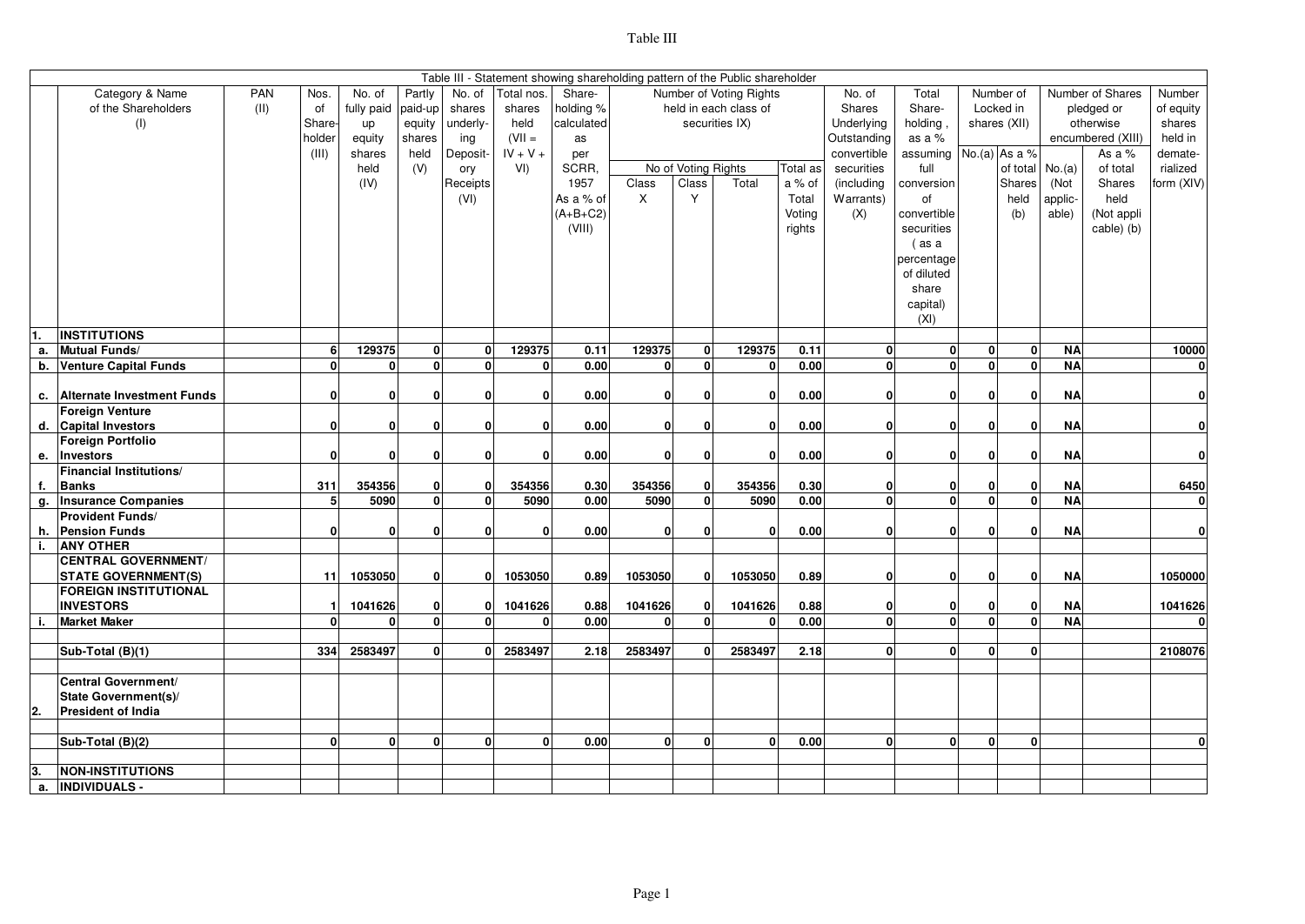|    | Table III - Statement showing shareholding pattern of the Public shareholder<br>Category & Name<br>PAN<br>No. of<br>Partly<br>No. of<br>Share-<br>Number of Voting Rights<br>No. of<br>Total<br>Number of<br>Number of Shares<br>Number<br>Nos.<br>Total nos. |      |                |            |              |              |              |              |              |                     |                       |          |                                |                        |              |              |                        |                   |              |
|----|---------------------------------------------------------------------------------------------------------------------------------------------------------------------------------------------------------------------------------------------------------------|------|----------------|------------|--------------|--------------|--------------|--------------|--------------|---------------------|-----------------------|----------|--------------------------------|------------------------|--------------|--------------|------------------------|-------------------|--------------|
|    |                                                                                                                                                                                                                                                               |      |                |            |              |              |              |              |              |                     |                       |          |                                |                        |              |              |                        |                   |              |
|    | of the Shareholders                                                                                                                                                                                                                                           | (11) | of             | fully paid | paid-up      | shares       | shares       | holding %    |              |                     | held in each class of |          | Shares                         | Share-                 |              | Locked in    |                        | pledged or        | of equity    |
|    | (1)                                                                                                                                                                                                                                                           |      | Share-         | up         | equity       | underly-     | held         | calculated   |              |                     | securities IX)        |          | Underlying                     | holding                |              | shares (XII) |                        | otherwise         | shares       |
|    |                                                                                                                                                                                                                                                               |      | holder         | equity     | shares       | ing          | $(VII =$     | as           |              |                     |                       |          | Outstanding                    | as a %                 |              |              |                        | encumbered (XIII) | held in      |
|    |                                                                                                                                                                                                                                                               |      | (III)          | shares     | held         | Deposit-     | $IV + V +$   | per          |              |                     |                       |          | convertible                    | assuming No.(a) As a % |              |              |                        | As a %            | demate-      |
|    |                                                                                                                                                                                                                                                               |      |                | held       | (V)          | ory          | VI)          | SCRR.        |              | No of Voting Rights |                       | Total as | securities                     | full                   |              | of total     | No.(a)                 | of total          | rialized     |
|    |                                                                                                                                                                                                                                                               |      |                | (IV)       |              | Receipts     |              | 1957         | Class        | Class               | Total                 | a % of   | (including                     | conversion             |              | Shares       | (Not                   | Shares            | form (XIV)   |
|    |                                                                                                                                                                                                                                                               |      |                |            |              | (VI)         |              | As a % of    | X            | Y                   |                       | Total    | Warrants)                      | of                     |              | held         | applic-                | held              |              |
|    |                                                                                                                                                                                                                                                               |      |                |            |              |              |              | $(A+B+C2)$   |              |                     |                       | Voting   | (X)                            | convertible            |              | (b)          | able)                  | (Not appli        |              |
|    |                                                                                                                                                                                                                                                               |      |                |            |              |              |              | (VIII)       |              |                     |                       | rights   |                                | securities             |              |              |                        | cable) (b)        |              |
|    |                                                                                                                                                                                                                                                               |      |                |            |              |              |              |              |              |                     |                       |          |                                | (as a                  |              |              |                        |                   |              |
|    |                                                                                                                                                                                                                                                               |      |                |            |              |              |              |              |              |                     |                       |          |                                | percentage             |              |              |                        |                   |              |
|    |                                                                                                                                                                                                                                                               |      |                |            |              |              |              |              |              |                     |                       |          |                                | of diluted             |              |              |                        |                   |              |
|    |                                                                                                                                                                                                                                                               |      |                |            |              |              |              |              |              |                     |                       |          |                                | share                  |              |              |                        |                   |              |
|    |                                                                                                                                                                                                                                                               |      |                |            |              |              |              |              |              |                     |                       |          |                                | capital)               |              |              |                        |                   |              |
|    |                                                                                                                                                                                                                                                               |      |                |            |              |              |              |              |              |                     |                       |          |                                | (XI)                   |              |              |                        |                   |              |
|    | <b>INSTITUTIONS</b>                                                                                                                                                                                                                                           |      |                |            |              |              |              |              |              |                     |                       |          |                                |                        |              |              |                        |                   |              |
| а. | <b>Mutual Funds/</b>                                                                                                                                                                                                                                          |      | 6              | 129375     | $\mathbf{0}$ | $\mathbf{0}$ | 129375       | 0.11         | 129375       | $\mathbf{0}$        | 129375                | 0.11     | $\mathbf{0}$                   | $\mathbf{0}$           | 0            | 0            | <b>NA</b>              |                   | 10000        |
| b. | <b>Venture Capital Funds</b>                                                                                                                                                                                                                                  |      | $\mathbf{0}$   | ٥l         | $\mathbf{0}$ | 0            | $\mathbf{0}$ | 0.00         | 0            | $\mathbf{0}$        | $\mathbf{0}$          | 0.00     | 0                              | $\mathbf{0}$           | <sub>0</sub> | $\mathbf{0}$ | <b>NA</b>              |                   | $\mathbf{0}$ |
| c. | <b>Alternate Investment Funds</b>                                                                                                                                                                                                                             |      | $\mathbf{0}$   | ٥I         | $\mathbf{0}$ | n            | $\mathbf 0$  | 0.00         | $\mathbf{0}$ | ŋ                   | 0                     | 0.00     | 0                              | 0                      | ΩI           | 0            | <b>NA</b>              |                   | 0            |
|    | <b>Foreign Venture</b>                                                                                                                                                                                                                                        |      |                |            |              |              |              |              |              |                     |                       |          |                                |                        |              |              |                        |                   |              |
|    | d. Capital Investors                                                                                                                                                                                                                                          |      | 0              | 0          | $\mathbf{0}$ | U            | $\mathbf 0$  | 0.00         | $\mathbf{0}$ | n                   | $\mathbf{0}$          | 0.00     | $\mathbf{0}$                   | οI                     | 0            | 0            | <b>NA</b>              |                   | 0            |
|    | <b>Foreign Portfolio</b>                                                                                                                                                                                                                                      |      |                |            |              |              |              |              |              |                     |                       |          |                                |                        |              |              |                        |                   |              |
| е. | Investors                                                                                                                                                                                                                                                     |      | $\mathbf{0}$   | 0          | $\mathbf{0}$ | O            | $\mathbf{0}$ | 0.00         | $\mathbf{0}$ | $\mathbf{0}$        | $\mathbf{0}$          | 0.00     | $\mathbf{0}$                   | 0                      | 0            | $\mathbf{0}$ | <b>NA</b>              |                   | 0            |
|    | <b>Financial Institutions/</b>                                                                                                                                                                                                                                |      |                |            |              |              |              |              |              |                     |                       |          |                                |                        |              |              |                        |                   |              |
| f. | <b>Banks</b>                                                                                                                                                                                                                                                  |      | 311            | 354356     | $\mathbf{0}$ | $\mathbf{0}$ | 354356       | 0.30         | 354356       | $\mathbf{0}$        | 354356                | 0.30     | $\mathbf{0}$                   | οI                     | 0            | 0            | <b>NA</b>              |                   | 6450         |
| g. | <b>Insurance Companies</b>                                                                                                                                                                                                                                    |      | 5 <sub>l</sub> | 5090       | $\Omega$     | $\Omega$     | 5090         | 0.00         | 5090         | $\Omega$            | 5090                  | 0.00     | $\overline{0}$                 | $\mathbf{0}$           | <sub>0</sub> | $\mathbf{0}$ | <b>NA</b>              |                   | 0            |
|    | <b>Provident Funds/</b>                                                                                                                                                                                                                                       |      |                |            |              |              |              |              |              |                     |                       |          |                                |                        |              |              |                        |                   |              |
| h. | <b>Pension Funds</b>                                                                                                                                                                                                                                          |      | $\mathbf{0}$   | 0          | $\mathbf{0}$ | O            | $\mathbf 0$  | 0.00         | $\mathbf{0}$ | n                   | 0                     | 0.00     | $\mathbf{0}$                   | οI                     | 0            | $\mathbf{0}$ | <b>NA</b>              |                   | 0            |
| i. | <b>ANY OTHER</b>                                                                                                                                                                                                                                              |      |                |            |              |              |              |              |              |                     |                       |          |                                |                        |              |              |                        |                   |              |
|    | <b>CENTRAL GOVERNMENT/</b>                                                                                                                                                                                                                                    |      |                |            |              |              |              |              |              |                     |                       |          |                                |                        |              |              |                        |                   |              |
|    | <b>STATE GOVERNMENT(S)</b>                                                                                                                                                                                                                                    |      | 11             | 1053050    | $\mathbf{0}$ | O            | 1053050      | 0.89         | 1053050      | $\Omega$            | 1053050               | 0.89     | $\mathbf{0}$                   | 0                      | <sub>0</sub> | $\mathbf 0$  | <b>NA</b>              |                   | 1050000      |
|    | <b>FOREIGN INSTITUTIONAL</b>                                                                                                                                                                                                                                  |      |                |            |              |              |              |              |              |                     |                       |          |                                |                        |              |              |                        |                   |              |
|    | <b>INVESTORS</b>                                                                                                                                                                                                                                              |      | $\mathbf{1}$   | 1041626    | $\mathbf{0}$ | $\mathbf{0}$ | 1041626      | 0.88<br>0.00 | 1041626      | $\Omega$            | 1041626               | 0.88     | $\mathbf{0}$<br>$\overline{0}$ | οI                     | 0            | 0            | <b>NA</b><br><b>NA</b> |                   | 1041626      |
|    | <b>Market Maker</b>                                                                                                                                                                                                                                           |      | $\Omega$       | o١         | $\mathbf{0}$ | $\mathbf{0}$ | O            |              | $\mathbf{0}$ | $\mathbf{0}$        | Û                     | 0.00     |                                | 0                      | 0            | $\mathbf{0}$ |                        |                   |              |
|    | Sub-Total (B)(1)                                                                                                                                                                                                                                              |      | 334            | 2583497    | $\mathbf{0}$ | $\mathbf{0}$ | 2583497      | 2.18         | 2583497      | 0.                  | 2583497               | 2.18     | 0                              | οl                     | $\mathbf{0}$ | $\mathbf{0}$ |                        |                   | 2108076      |
|    |                                                                                                                                                                                                                                                               |      |                |            |              |              |              |              |              |                     |                       |          |                                |                        |              |              |                        |                   |              |
|    | <b>Central Government/</b>                                                                                                                                                                                                                                    |      |                |            |              |              |              |              |              |                     |                       |          |                                |                        |              |              |                        |                   |              |
|    | State Government(s)/                                                                                                                                                                                                                                          |      |                |            |              |              |              |              |              |                     |                       |          |                                |                        |              |              |                        |                   |              |
| 2. | <b>President of India</b>                                                                                                                                                                                                                                     |      |                |            |              |              |              |              |              |                     |                       |          |                                |                        |              |              |                        |                   |              |
|    |                                                                                                                                                                                                                                                               |      |                |            |              |              |              |              |              |                     |                       |          |                                |                        |              |              |                        |                   |              |
|    | Sub-Total (B)(2)                                                                                                                                                                                                                                              |      | $\mathbf{0}$   | 0          | $\mathbf{0}$ | $\mathbf{0}$ | $\Omega$     | 0.00         | $\mathbf{0}$ | O                   | 0                     | 0.00     | 0                              | οI                     | O            | $\mathbf{0}$ |                        |                   | $\mathbf{0}$ |
|    |                                                                                                                                                                                                                                                               |      |                |            |              |              |              |              |              |                     |                       |          |                                |                        |              |              |                        |                   |              |
|    | <b>NON-INSTITUTIONS</b>                                                                                                                                                                                                                                       |      |                |            |              |              |              |              |              |                     |                       |          |                                |                        |              |              |                        |                   |              |
| а. | <b>INDIVIDUALS -</b>                                                                                                                                                                                                                                          |      |                |            |              |              |              |              |              |                     |                       |          |                                |                        |              |              |                        |                   |              |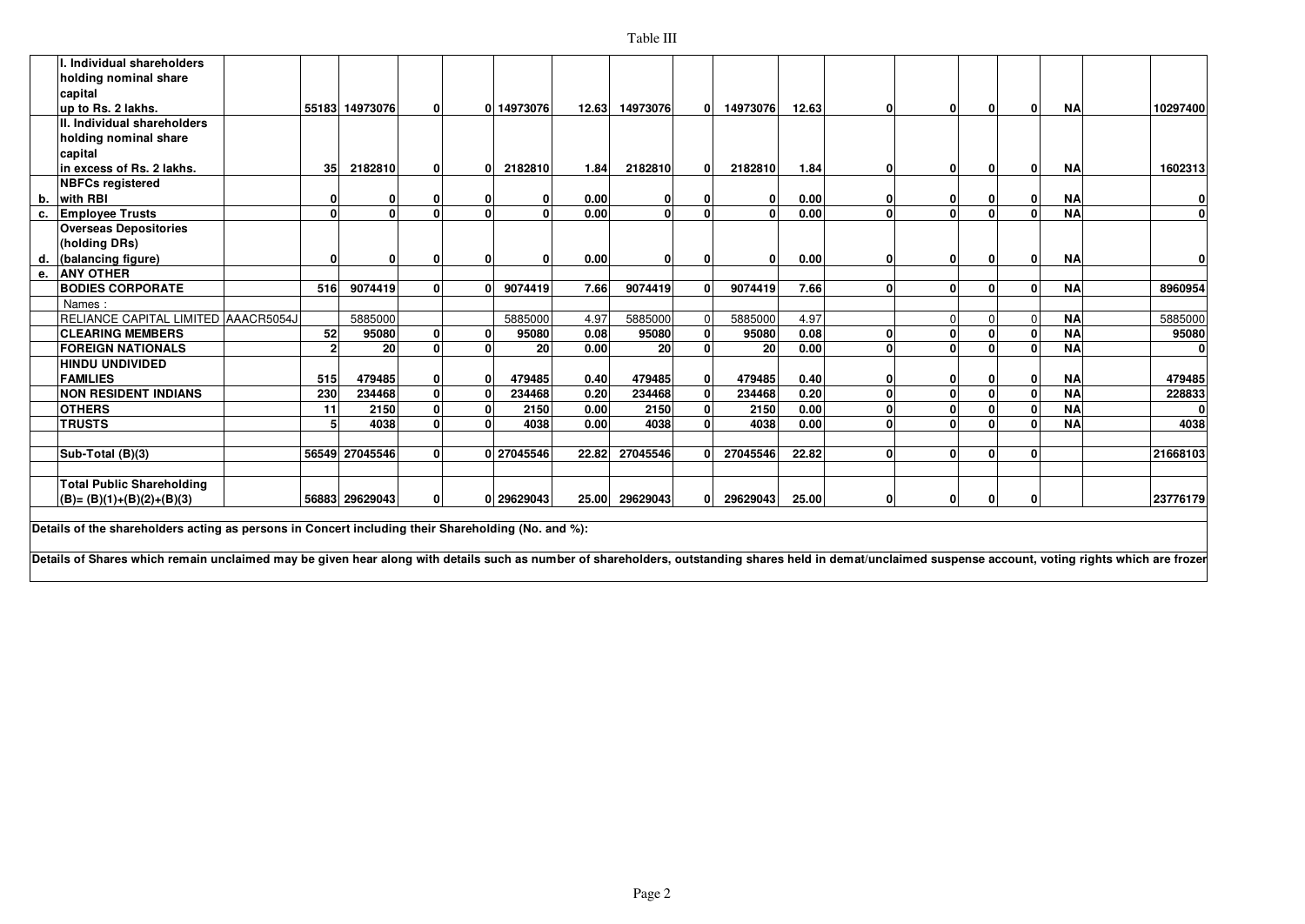## Table III

|    | Individual shareholders                    |                 |                                                                                                                          |              |    |            |       |              |          |          |       |              |              |              |           |          |
|----|--------------------------------------------|-----------------|--------------------------------------------------------------------------------------------------------------------------|--------------|----|------------|-------|--------------|----------|----------|-------|--------------|--------------|--------------|-----------|----------|
|    | holding nominal share                      |                 |                                                                                                                          |              |    |            |       |              |          |          |       |              |              |              |           |          |
|    | capital                                    |                 |                                                                                                                          |              |    |            |       |              |          |          |       |              |              |              |           |          |
|    | up to Rs. 2 lakhs.                         |                 | 55183 14973076                                                                                                           | $\mathbf{0}$ |    | 0 14973076 | 12.63 | 14973076     | $\Omega$ | 14973076 | 12.63 | 0            | 01           | $\mathbf{0}$ | <b>NA</b> | 10297400 |
|    | . Individual shareholders                  |                 |                                                                                                                          |              |    |            |       |              |          |          |       |              |              |              |           |          |
|    | holding nominal share                      |                 |                                                                                                                          |              |    |            |       |              |          |          |       |              |              |              |           |          |
|    | capital                                    |                 |                                                                                                                          |              |    |            |       |              |          |          |       |              |              |              |           |          |
|    | in excess of Rs. 2 lakhs.                  | 35 <sup>1</sup> | 2182810                                                                                                                  | $\mathbf{0}$ | ΩI | 2182810    | 1.84  | 2182810      |          | 2182810  | 1.84  | 01           | 0            | $\mathbf{0}$ | <b>NA</b> | 1602313  |
|    | <b>NBFCs registered</b>                    |                 |                                                                                                                          |              |    |            |       |              |          |          |       |              |              |              |           |          |
| b. | with RBI                                   | O               |                                                                                                                          | O            |    | o          | 0.00  | $\mathbf{0}$ |          | O        | 0.00  | 0            | 0            | 0            | <b>NA</b> |          |
| с. | <b>Employee Trusts</b>                     | $\Omega$        | U                                                                                                                        |              | n١ |            | 0.00  | $\Omega$     |          |          | 0.00  | $\mathbf{0}$ | $\Omega$     | $\mathbf{0}$ | <b>NA</b> | ŋ        |
|    | <b>Overseas Depositories</b>               |                 |                                                                                                                          |              |    |            |       |              |          |          |       |              |              |              |           |          |
|    | (holding DRs)                              |                 |                                                                                                                          |              |    |            |       |              |          |          |       |              |              |              |           |          |
| d. | (balancing figure)                         | O               | O                                                                                                                        | <sup>0</sup> | ΩI | O          | 0.00  | O            |          | O        | 0.00  | ŋ            | ŋ            | $\mathbf{0}$ | <b>NA</b> |          |
| е. | <b>JANY OTHER</b>                          |                 |                                                                                                                          |              |    |            |       |              |          |          |       |              |              |              |           |          |
|    | <b>BODIES CORPORATE</b>                    | 516             | 9074419                                                                                                                  | $\Omega$     | ΩI | 9074419    | 7.66  | 9074419      |          | 9074419  | 7.66  | $\mathbf{0}$ | $\mathbf{0}$ | $\mathbf{0}$ | <b>NA</b> | 8960954  |
|    | Names:                                     |                 |                                                                                                                          |              |    |            |       |              |          |          |       |              |              |              |           |          |
|    | RELIANCE CAPITAL LIMITED AAACR5054J        |                 | 5885000                                                                                                                  |              |    | 5885000    | 4.97  | 5885000      |          | 5885000  | 4.97  |              | O            | $\Omega$     | <b>NA</b> | 5885000  |
|    | <b>CLEARING MEMBERS</b>                    | 52              | 95080                                                                                                                    | $\Omega$     |    | 95080      | 0.08  | 95080        |          | 95080    | 0.08  | $\mathbf{0}$ | $\mathbf{0}$ | $\mathbf{0}$ | <b>NA</b> | 95080    |
|    | <b>FOREIGN NATIONALS</b>                   | $\overline{2}$  | 20                                                                                                                       | $\Omega$     | ΩI | 20         | 0.00  | 20           |          | 20       | 0.00  | $\Omega$     | $\Omega$     | $\mathbf{0}$ | <b>NA</b> | $\Omega$ |
|    | <b>HINDU UNDIVIDED</b>                     |                 |                                                                                                                          |              |    |            |       |              |          |          |       |              |              |              |           |          |
|    | <b>FAMILIES</b>                            | 515             | 479485                                                                                                                   | $\mathbf{0}$ | 0  | 479485     | 0.40  | 479485       |          | 479485   | 0.40  | 0            | 0            | $\mathbf{0}$ | <b>NA</b> | 479485   |
|    | <b>NON RESIDENT INDIANS</b>                | 230             | 234468                                                                                                                   | $\Omega$     |    | 234468     | 0.20  | 234468       |          | 234468   | 0.20  | $\mathbf{0}$ | $\mathbf{0}$ | $\mathbf{0}$ | <b>NA</b> | 228833   |
|    | <b>OTHERS</b>                              | 11              | 2150                                                                                                                     |              |    | 2150       | 0.00  | 2150         |          | 2150     | 0.00  | $\mathbf{0}$ | $\Omega$     | $\mathbf{0}$ | <b>NA</b> |          |
|    | <b>TRUSTS</b>                              | 5               | 4038                                                                                                                     |              | ΩI | 4038       | 0.00  | 4038         |          | 4038     | 0.00  | n١           | $\Omega$     | $\mathbf{0}$ | <b>NA</b> | 4038     |
|    |                                            |                 |                                                                                                                          |              |    |            |       |              |          |          |       |              |              |              |           |          |
|    | Sub-Total (B)(3)                           |                 | 56549 27045546                                                                                                           |              |    | 0 27045546 | 22.82 | 27045546     |          | 27045546 | 22.82 | $\Omega$     | $\Omega$     | $\mathbf{0}$ |           | 21668103 |
|    |                                            |                 |                                                                                                                          |              |    |            |       |              |          |          |       |              |              |              |           |          |
|    | <b>Total Public Shareholding</b>           |                 |                                                                                                                          |              |    |            |       |              |          |          |       |              |              |              |           |          |
|    | $(B)=(B)(1)+(B)(2)+(B)(3)$                 |                 | 56883 29629043                                                                                                           | $\Omega$     |    | 0 29629043 | 25.00 | 29629043     |          | 29629043 | 25.00 | ٥I           | 0            | $\mathbf{0}$ |           | 23776179 |
|    | Protection of the contracted discovered to |                 | the construction of the set of the state of the set of the construction of $\mathbf{A}$ the construction of $\mathbf{A}$ |              |    |            |       |              |          |          |       |              |              |              |           |          |

**Details of the shareholders acting as persons in Concert including their Shareholding (No. and %):** 

Details of Shares which remain unclaimed may be given hear along with details such as number of shareholders, outstanding shares held in demat/unclaimed suspense account, voting rights which are frozer